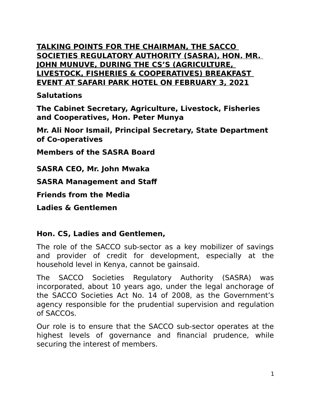### **TALKING POINTS FOR THE CHAIRMAN, THE SACCO SOCIETIES REGULATORY AUTHORITY (SASRA), HON. MR. JOHN MUNUVE, DURING THE CS'S (AGRICULTURE, LIVESTOCK, FISHERIES & COOPERATIVES) BREAKFAST EVENT AT SAFARI PARK HOTEL ON FEBRUARY 3, 2021**

### **Salutations**

**The Cabinet Secretary, Agriculture, Livestock, Fisheries and Cooperatives, Hon. Peter Munya**

**Mr. Ali Noor Ismail, Principal Secretary, State Department of Co-operatives**

**Members of the SASRA Board**

**SASRA CEO, Mr. John Mwaka**

**SASRA Management and Staf**

**Friends from the Media** 

**Ladies & Gentlemen**

### **Hon. CS, Ladies and Gentlemen,**

The role of the SACCO sub-sector as a key mobilizer of savings and provider of credit for development, especially at the household level in Kenya, cannot be gainsaid.

The SACCO Societies Regulatory Authority (SASRA) was incorporated, about 10 years ago, under the legal anchorage of the SACCO Societies Act No. 14 of 2008, as the Government's agency responsible for the prudential supervision and regulation of SACCOs.

Our role is to ensure that the SACCO sub-sector operates at the highest levels of governance and financial prudence, while securing the interest of members.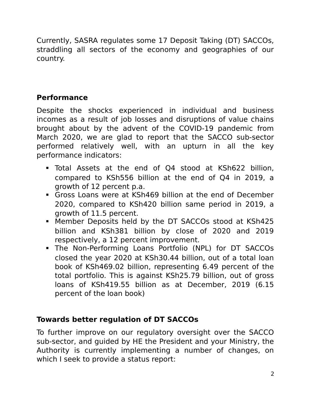Currently, SASRA regulates some 17 Deposit Taking (DT) SACCOs, straddling all sectors of the economy and geographies of our country.

## **Performance**

Despite the shocks experienced in individual and business incomes as a result of job losses and disruptions of value chains brought about by the advent of the COVID-19 pandemic from March 2020, we are glad to report that the SACCO sub-sector performed relatively well, with an upturn in all the key performance indicators:

- Total Assets at the end of Q4 stood at KSh622 billion, compared to KSh556 billion at the end of Q4 in 2019, a growth of 12 percent p.a.
- Gross Loans were at KSh469 billion at the end of December 2020, compared to KSh420 billion same period in 2019, a growth of 11.5 percent.
- Member Deposits held by the DT SACCOs stood at KSh425 billion and KSh381 billion by close of 2020 and 2019 respectively, a 12 percent improvement.
- The Non-Performing Loans Portfolio (NPL) for DT SACCOs closed the year 2020 at KSh30.44 billion, out of a total loan book of KSh469.02 billion, representing 6.49 percent of the total portfolio. This is against KSh25.79 billion, out of gross loans of KSh419.55 billion as at December, 2019 (6.15 percent of the loan book)

# **Towards better regulation of DT SACCOs**

To further improve on our regulatory oversight over the SACCO sub-sector, and guided by HE the President and your Ministry, the Authority is currently implementing a number of changes, on which I seek to provide a status report: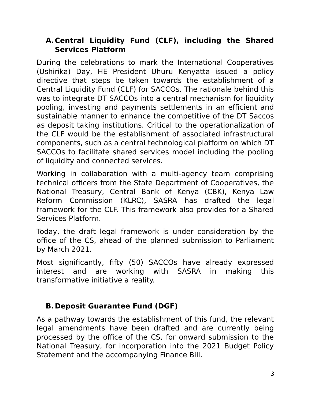## **A.Central Liquidity Fund (CLF), including the Shared Services Platform**

During the celebrations to mark the International Cooperatives (Ushirika) Day, HE President Uhuru Kenyatta issued a policy directive that steps be taken towards the establishment of a Central Liquidity Fund (CLF) for SACCOs. The rationale behind this was to integrate DT SACCOs into a central mechanism for liquidity pooling, investing and payments settlements in an efficient and sustainable manner to enhance the competitive of the DT Saccos as deposit taking institutions. Critical to the operationalization of the CLF would be the establishment of associated infrastructural components, such as a central technological platform on which DT SACCOs to facilitate shared services model including the pooling of liquidity and connected services.

Working in collaboration with a multi-agency team comprising technical officers from the State Department of Cooperatives, the National Treasury, Central Bank of Kenya (CBK), Kenya Law Reform Commission (KLRC), SASRA has drafted the legal framework for the CLF. This framework also provides for a Shared Services Platform.

Today, the draft legal framework is under consideration by the office of the CS, ahead of the planned submission to Parliament by March 2021.

Most significantly, fifty (50) SACCOs have already expressed interest and are working with SASRA in making this transformative initiative a reality.

# **B. Deposit Guarantee Fund (DGF)**

As a pathway towards the establishment of this fund, the relevant legal amendments have been drafted and are currently being processed by the office of the CS, for onward submission to the National Treasury, for incorporation into the 2021 Budget Policy Statement and the accompanying Finance Bill.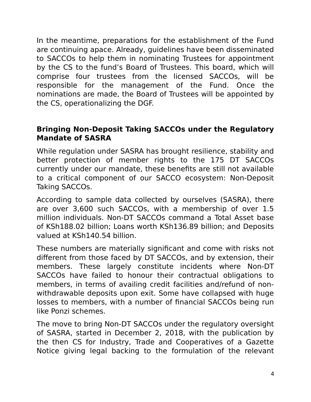In the meantime, preparations for the establishment of the Fund are continuing apace. Already, guidelines have been disseminated to SACCOs to help them in nominating Trustees for appointment by the CS to the fund's Board of Trustees. This board, which will comprise four trustees from the licensed SACCOs, will be responsible for the management of the Fund. Once the nominations are made, the Board of Trustees will be appointed by the CS, operationalizing the DGF.

### **Bringing Non-Deposit Taking SACCOs under the Regulatory Mandate of SASRA**

While regulation under SASRA has brought resilience, stability and better protection of member rights to the 175 DT SACCOs currently under our mandate, these benefits are still not available to a critical component of our SACCO ecosystem: Non-Deposit Taking SACCOs.

According to sample data collected by ourselves (SASRA), there are over 3,600 such SACCOs, with a membership of over 1.5 million individuals. Non-DT SACCOs command a Total Asset base of KSh188.02 billion; Loans worth KSh136.89 billion; and Deposits valued at KSh140.54 billion.

These numbers are materially significant and come with risks not different from those faced by DT SACCOs, and by extension, their members. These largely constitute incidents where Non-DT SACCOs have failed to honour their contractual obligations to members, in terms of availing credit facilities and/refund of nonwithdrawable deposits upon exit. Some have collapsed with huge losses to members, with a number of financial SACCOs being run like Ponzi schemes.

The move to bring Non-DT SACCOs under the regulatory oversight of SASRA, started in December 2, 2018, with the publication by the then CS for Industry, Trade and Cooperatives of a Gazette Notice giving legal backing to the formulation of the relevant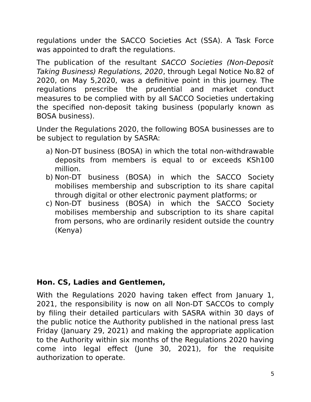regulations under the SACCO Societies Act (SSA). A Task Force was appointed to draft the regulations.

The publication of the resultant SACCO Societies (Non-Deposit Taking Business) Regulations, 2020, through Legal Notice No.82 of 2020, on May 5,2020, was a definitive point in this journey. The regulations prescribe the prudential and market conduct measures to be complied with by all SACCO Societies undertaking the specified non-deposit taking business (popularly known as BOSA business).

Under the Regulations 2020, the following BOSA businesses are to be subject to regulation by SASRA:

- a) Non-DT business (BOSA) in which the total non-withdrawable deposits from members is equal to or exceeds KSh100 million.
- b) Non-DT business (BOSA) in which the SACCO Society mobilises membership and subscription to its share capital through digital or other electronic payment platforms; or
- c) Non-DT business (BOSA) in which the SACCO Society mobilises membership and subscription to its share capital from persons, who are ordinarily resident outside the country (Kenya)

### **Hon. CS, Ladies and Gentlemen,**

With the Regulations 2020 having taken effect from January 1, 2021, the responsibility is now on all Non-DT SACCOs to comply by filing their detailed particulars with SASRA within 30 days of the public notice the Authority published in the national press last Friday (January 29, 2021) and making the appropriate application to the Authority within six months of the Regulations 2020 having come into legal effect (June 30, 2021), for the requisite authorization to operate.